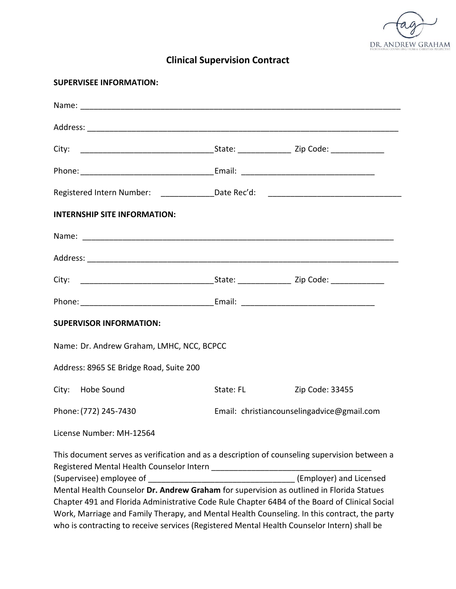

# **Clinical Supervision Contract**

| <b>SUPERVISEE INFORMATION:</b>                                                                                                                                                                                                |           |                                                                                               |
|-------------------------------------------------------------------------------------------------------------------------------------------------------------------------------------------------------------------------------|-----------|-----------------------------------------------------------------------------------------------|
|                                                                                                                                                                                                                               |           |                                                                                               |
|                                                                                                                                                                                                                               |           |                                                                                               |
|                                                                                                                                                                                                                               |           |                                                                                               |
|                                                                                                                                                                                                                               |           |                                                                                               |
|                                                                                                                                                                                                                               |           | Registered Intern Number: _______________Date Rec'd: ___________________________              |
| <b>INTERNSHIP SITE INFORMATION:</b>                                                                                                                                                                                           |           |                                                                                               |
| Name: Name: Name: Name: Name: Name: Name: Name: Name: Name: Name: Name: Name: Name: Name: Name: Name: Name: Name: Name: Name: Name: Name: Name: Name: Name: Name: Name: Name: Name: Name: Name: Name: Name: Name: Name: Name: |           |                                                                                               |
|                                                                                                                                                                                                                               |           |                                                                                               |
|                                                                                                                                                                                                                               |           |                                                                                               |
|                                                                                                                                                                                                                               |           |                                                                                               |
| <b>SUPERVISOR INFORMATION:</b>                                                                                                                                                                                                |           |                                                                                               |
| Name: Dr. Andrew Graham, LMHC, NCC, BCPCC                                                                                                                                                                                     |           |                                                                                               |
| Address: 8965 SE Bridge Road, Suite 200                                                                                                                                                                                       |           |                                                                                               |
| City: Hobe Sound                                                                                                                                                                                                              | State: FL | Zip Code: 33455                                                                               |
|                                                                                                                                                                                                                               |           | Phone: (772) 245-7430 Email: christiancounselingadvice@gmail.com                              |
| License Number: MH-12564                                                                                                                                                                                                      |           |                                                                                               |
|                                                                                                                                                                                                                               |           | This document serves as verification and as a description of counseling supervision between a |
|                                                                                                                                                                                                                               |           | (Employer) and Licensed                                                                       |
|                                                                                                                                                                                                                               |           | Mental Health Counselor Dr. Andrew Graham for supervision as outlined in Florida Statues      |
|                                                                                                                                                                                                                               |           | Chapter 491 and Florida Administrative Code Rule Chapter 64B4 of the Board of Clinical Social |
|                                                                                                                                                                                                                               |           | Work, Marriage and Family Therapy, and Mental Health Counseling. In this contract, the party  |
| who is contracting to receive services (Registered Mental Health Counselor Intern) shall be                                                                                                                                   |           |                                                                                               |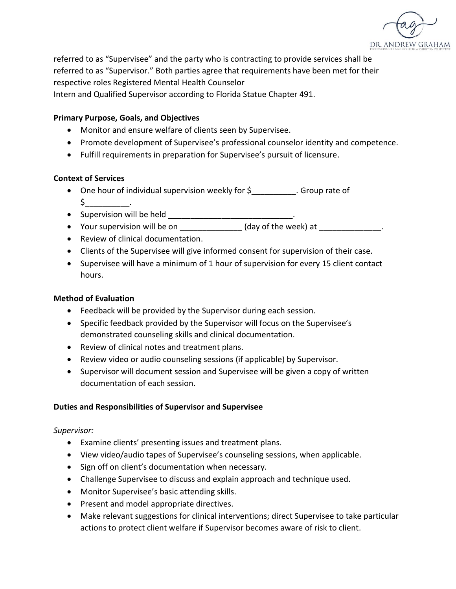

referred to as "Supervisee" and the party who is contracting to provide services shall be referred to as "Supervisor." Both parties agree that requirements have been met for their respective roles Registered Mental Health Counselor

Intern and Qualified Supervisor according to Florida Statue Chapter 491.

## **Primary Purpose, Goals, and Objectives**

- Monitor and ensure welfare of clients seen by Supervisee.
- Promote development of Supervisee's professional counselor identity and competence.
- Fulfill requirements in preparation for Supervisee's pursuit of licensure.

### **Context of Services**

- One hour of individual supervision weekly for \$\_\_\_\_\_\_\_\_\_\_. Group rate of  $\mathsf{S} \hspace{2em}$
- Supervision will be held \_\_\_\_\_\_\_\_\_\_\_\_\_\_\_\_\_\_\_\_\_\_\_\_\_\_\_\_\_\_\_\_.
- Your supervision will be on \_\_\_\_\_\_\_\_\_\_\_\_\_\_\_ (day of the week) at \_\_\_\_\_\_\_\_\_\_\_\_\_
- Review of clinical documentation.
- Clients of the Supervisee will give informed consent for supervision of their case.
- Supervisee will have a minimum of 1 hour of supervision for every 15 client contact hours.

## **Method of Evaluation**

- Feedback will be provided by the Supervisor during each session.
- Specific feedback provided by the Supervisor will focus on the Supervisee's demonstrated counseling skills and clinical documentation.
- Review of clinical notes and treatment plans.
- Review video or audio counseling sessions (if applicable) by Supervisor.
- Supervisor will document session and Supervisee will be given a copy of written documentation of each session.

### **Duties and Responsibilities of Supervisor and Supervisee**

### *Supervisor:*

- Examine clients' presenting issues and treatment plans.
- View video/audio tapes of Supervisee's counseling sessions, when applicable.
- Sign off on client's documentation when necessary.
- Challenge Supervisee to discuss and explain approach and technique used.
- Monitor Supervisee's basic attending skills.
- Present and model appropriate directives.
- Make relevant suggestions for clinical interventions; direct Supervisee to take particular actions to protect client welfare if Supervisor becomes aware of risk to client.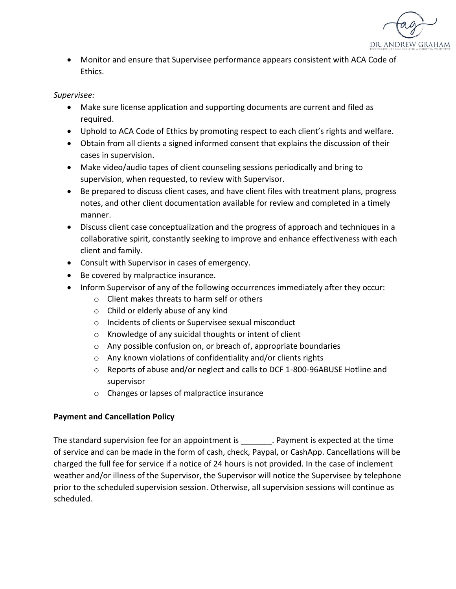

• Monitor and ensure that Supervisee performance appears consistent with ACA Code of Ethics.

## *Supervisee:*

- Make sure license application and supporting documents are current and filed as required.
- Uphold to ACA Code of Ethics by promoting respect to each client's rights and welfare.
- Obtain from all clients a signed informed consent that explains the discussion of their cases in supervision.
- Make video/audio tapes of client counseling sessions periodically and bring to supervision, when requested, to review with Supervisor.
- Be prepared to discuss client cases, and have client files with treatment plans, progress notes, and other client documentation available for review and completed in a timely manner.
- Discuss client case conceptualization and the progress of approach and techniques in a collaborative spirit, constantly seeking to improve and enhance effectiveness with each client and family.
- Consult with Supervisor in cases of emergency.
- Be covered by malpractice insurance.
- Inform Supervisor of any of the following occurrences immediately after they occur:
	- o Client makes threats to harm self or others
	- o Child or elderly abuse of any kind
	- o Incidents of clients or Supervisee sexual misconduct
	- o Knowledge of any suicidal thoughts or intent of client
	- o Any possible confusion on, or breach of, appropriate boundaries
	- o Any known violations of confidentiality and/or clients rights
	- o Reports of abuse and/or neglect and calls to DCF 1-800-96ABUSE Hotline and supervisor
	- o Changes or lapses of malpractice insurance

## **Payment and Cancellation Policy**

The standard supervision fee for an appointment is expected at the time The standard supervision fee for an appointment is  $\blacksquare$ of service and can be made in the form of cash, check, Paypal, or CashApp. Cancellations will be charged the full fee for service if a notice of 24 hours is not provided. In the case of inclement weather and/or illness of the Supervisor, the Supervisor will notice the Supervisee by telephone prior to the scheduled supervision session. Otherwise, all supervision sessions will continue as scheduled.